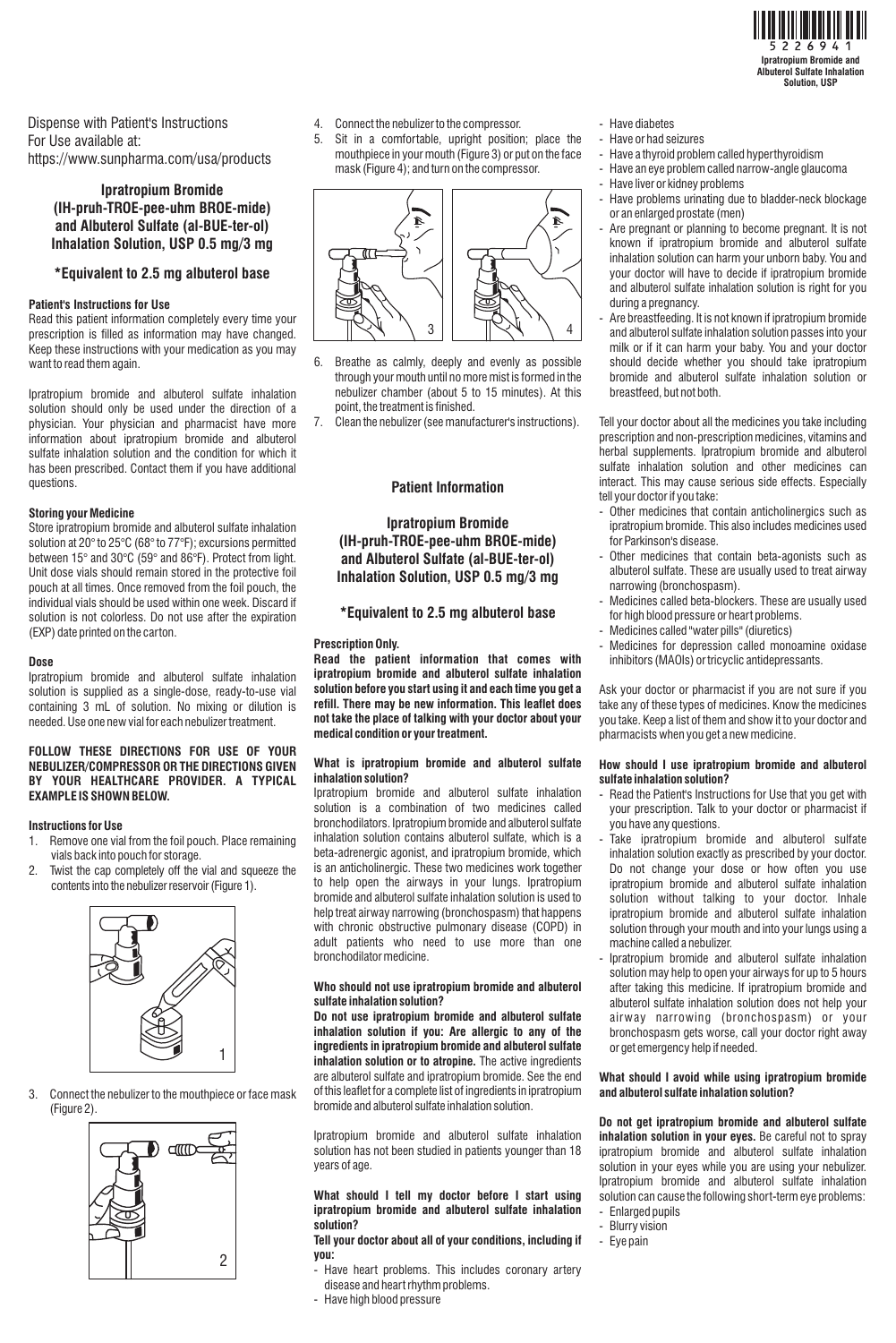

Dispense with Patient's Instructions For Use available at: https://www.sunpharma.com/usa/products

# **Ipratropium Bromide (IH-pruh-TROE-pee-uhm BROE-mide) and Albuterol Sulfate (al-BUE-ter-ol) Inhalation Solution, USP 0.5 mg/3 mg**

## **\*Equivalent to 2.5 mg albuterol base**

## **Patient's Instructions for Use**

Read this patient information completely every time your prescription is filled as information may have changed. Keep these instructions with your medication as you may want to read them again.

Ipratropium bromide and albuterol sulfate inhalation solution should only be used under the direction of a physician. Your physician and pharmacist have more information about ipratropium bromide and albuterol sulfate inhalation solution and the condition for which it has been prescribed. Contact them if you have additional questions.

#### **Storing your Medicine**

Store ipratropium bromide and albuterol sulfate inhalation solution at 20° to 25°C (68° to 77°F); excursions permitted between 15° and 30°C (59° and 86°F). Protect from light. Unit dose vials should remain stored in the protective foil pouch at all times. Once removed from the foil pouch, the individual vials should be used within one week. Discard if solution is not colorless. Do not use after the expiration (EXP) date printed on the carton.

#### **Dose**

Ipratropium bromide and albuterol sulfate inhalation solution is supplied as a single-dose, ready-to-use vial containing 3 mL of solution. No mixing or dilution is needed. Use one new vial for each nebulizer treatment.

#### **FOLLOW THESE DIRECTIONS FOR USE OF YOUR NEBULIZER/COMPRESSOR OR THE DIRECTIONS GIVEN BY YOUR HEALTHCARE PROVIDER. A TYPICAL EXAMPLE IS SHOWN BELOW.**

#### **Instructions for Use**

- 1. Remove one vial from the foil pouch. Place remaining vials back into pouch for storage.
- 2. Twist the cap completely off the vial and squeeze the contents into the nebulizer reservoir (Figure 1).



3. Connect the nebulizer to the mouthpiece or face mask (Figure 2).



- 4. Connect the nebulizer to the compressor.
- 5. Sit in a comfortable, upright position; place the mouthpiece in your mouth (Figure 3) or put on the face mask (Figure 4); and turn on the compressor.



- 6. Breathe as calmly, deeply and evenly as possible through your mouth until no more mist is formed in the nebulizer chamber (about 5 to 15 minutes). At this point, the treatment is finished.
- 7. Clean the nebulizer (see manufacturer's instructions).

#### **Patient Information**

**Ipratropium Bromide (IH-pruh-TROE-pee-uhm BROE-mide) and Albuterol Sulfate (al-BUE-ter-ol) Inhalation Solution, USP 0.5 mg/3 mg**

#### **\*Equivalent to 2.5 mg albuterol base**

#### **Prescription Only.**

**Read the patient information that comes with ipratropium bromide and albuterol sulfate inhalation solution before you start using it and each time you get a refill. There may be new information. This leaflet does not take the place of talking with your doctor about your medical condition or your treatment.**

#### **What is ipratropium bromide and albuterol sulfate inhalation solution?**

Ipratropium bromide and albuterol sulfate inhalation solution is a combination of two medicines called bronchodilators. Ipratropium bromide and albuterol sulfate inhalation solution contains albuterol sulfate, which is a beta-adrenergic agonist, and ipratropium bromide, which is an anticholinergic. These two medicines work together to help open the airways in your lungs. Ipratropium bromide and albuterol sulfate inhalation solution is used to help treat airway narrowing (bronchospasm) that happens with chronic obstructive pulmonary disease (COPD) in adult patients who need to use more than one bronchodilator medicine.

#### **Who should not use ipratropium bromide and albuterol sulfate inhalation solution?**

**Do not use ipratropium bromide and albuterol sulfate inhalation solution if you: Are allergic to any of the ingredients in ipratropium bromide and albuterol sulfate inhalation solution or to atropine.** The active ingredients are albuterol sulfate and ipratropium bromide. See the end of this leaflet for a complete list of ingredients in ipratropium bromide and albuterol sulfate inhalation solution.

Ipratropium bromide and albuterol sulfate inhalation solution has not been studied in patients younger than 18 years of age.

#### **What should I tell my doctor before I start using ipratropium bromide and albuterol sulfate inhalation solution?**

**Tell your doctor about all of your conditions, including if you:**

- Have heart problems. This includes coronary artery disease and heart rhythm problems.
- Have high blood pressure
- Have diabetes
- Have or had seizures
- Have a thyroid problem called hyperthyroidism
- Have an eye problem called narrow-angle glaucoma
- Have liver or kidney problems
- Have problems urinating due to bladder-neck blockage or an enlarged prostate (men)
- Are pregnant or planning to become pregnant. It is not known if ipratropium bromide and albuterol sulfate inhalation solution can harm your unborn baby. You and your doctor will have to decide if ipratropium bromide and albuterol sulfate inhalation solution is right for you during a pregnancy.
- Are breastfeeding. It is not known if ipratropium bromide and albuterol sulfate inhalation solution passes into your milk or if it can harm your baby. You and your doctor should decide whether you should take ipratropium bromide and albuterol sulfate inhalation solution or breastfeed, but not both.

Tell your doctor about all the medicines you take including prescription and non-prescription medicines, vitamins and herbal supplements. Ipratropium bromide and albuterol sulfate inhalation solution and other medicines can interact. This may cause serious side effects. Especially tell your doctor if you take:

- Other medicines that contain anticholinergics such as ipratropium bromide. This also includes medicines used for Parkinson's disease.
- Other medicines that contain beta-agonists such as albuterol sulfate. These are usually used to treat airway narrowing (bronchospasm).
- Medicines called beta-blockers. These are usually used for high blood pressure or heart problems.
- Medicines called "water pills" (diuretics)
- Medicines for depression called monoamine oxidase inhibitors (MAOIs) or tricyclic antidepressants.

Ask your doctor or pharmacist if you are not sure if you take any of these types of medicines. Know the medicines you take. Keep a list of them and show it to your doctor and pharmacists when you get a new medicine.

#### **How should I use ipratropium bromide and albuterol sulfate inhalation solution?**

- Read the Patient's Instructions for Use that you get with your prescription. Talk to your doctor or pharmacist if you have any questions.
- Take ipratropium bromide and albuterol sulfate inhalation solution exactly as prescribed by your doctor. Do not change your dose or how often you use ipratropium bromide and albuterol sulfate inhalation solution without talking to your doctor. Inhale ipratropium bromide and albuterol sulfate inhalation solution through your mouth and into your lungs using a machine called a nebulizer.
- Ipratropium bromide and albuterol sulfate inhalation solution may help to open your airways for up to 5 hours after taking this medicine. If ipratropium bromide and albuterol sulfate inhalation solution does not help your airway narrowing (bronchospasm) or your bronchospasm gets worse, call your doctor right away or get emergency help if needed.

## **What should I avoid while using ipratropium bromide and albuterol sulfate inhalation solution?**

**Do not get ipratropium bromide and albuterol sulfate inhalation solution in your eyes.** Be careful not to spray ipratropium bromide and albuterol sulfate inhalation solution in your eyes while you are using your nebulizer. Ipratropium bromide and albuterol sulfate inhalation solution can cause the following short-term eye problems:

- Enlarged pupils - Blurry vision
- Eye pain